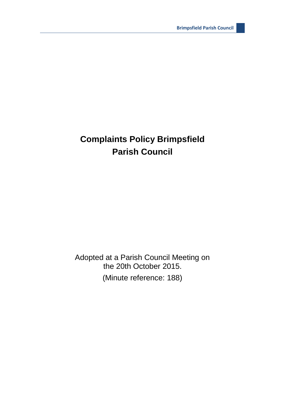## **Complaints Policy Brimpsfield Parish Council**

Adopted at a Parish Council Meeting on the 20th October 2015. (Minute reference: 188)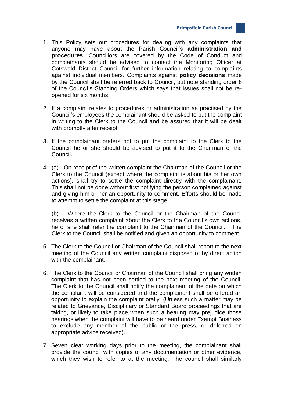- 1. This Policy sets out procedures for dealing with any complaints that anyone may have about the Parish Council's **administration and procedures**. Councillors are covered by the Code of Conduct and complainants should be advised to contact the Monitoring Officer at Cotswold District Council for further information relating to complaints against individual members. Complaints against **policy decisions** made by the Council shall be referred back to Council, but note standing order 8 of the Council's Standing Orders which says that issues shall not be reopened for six months.
- 2. If a complaint relates to procedures or administration as practised by the Council's employees the complainant should be asked to put the complaint in writing to the Clerk to the Council and be assured that it will be dealt with promptly after receipt.
- 3. If the complainant prefers not to put the complaint to the Clerk to the Council he or she should be advised to put it to the Chairman of the Council.
- 4. (a) On receipt of the written complaint the Chairman of the Council or the Clerk to the Council (except where the complaint is about his or her own actions), shall try to settle the complaint directly with the complainant. This shall not be done without first notifying the person complained against and giving him or her an opportunity to comment. Efforts should be made to attempt to settle the complaint at this stage.

(b) Where the Clerk to the Council or the Chairman of the Council receives a written complaint about the Clerk to the Council's own actions, he or she shall refer the complaint to the Chairman of the Council. The Clerk to the Council shall be notified and given an opportunity to comment.

- 5. The Clerk to the Council or Chairman of the Council shall report to the next meeting of the Council any written complaint disposed of by direct action with the complainant.
- 6. The Clerk to the Council or Chairman of the Council shall bring any written complaint that has not been settled to the next meeting of the Council. The Clerk to the Council shall notify the complainant of the date on which the complaint will be considered and the complainant shall be offered an opportunity to explain the complaint orally. (Unless such a matter may be related to Grievance, Disciplinary or Standard Board proceedings that are taking, or likely to take place when such a hearing may prejudice those hearings when the complaint will have to be heard under Exempt Business to exclude any member of the public or the press, or deferred on appropriate advice received).
- 7. Seven clear working days prior to the meeting, the complainant shall provide the council with copies of any documentation or other evidence, which they wish to refer to at the meeting. The council shall similarly